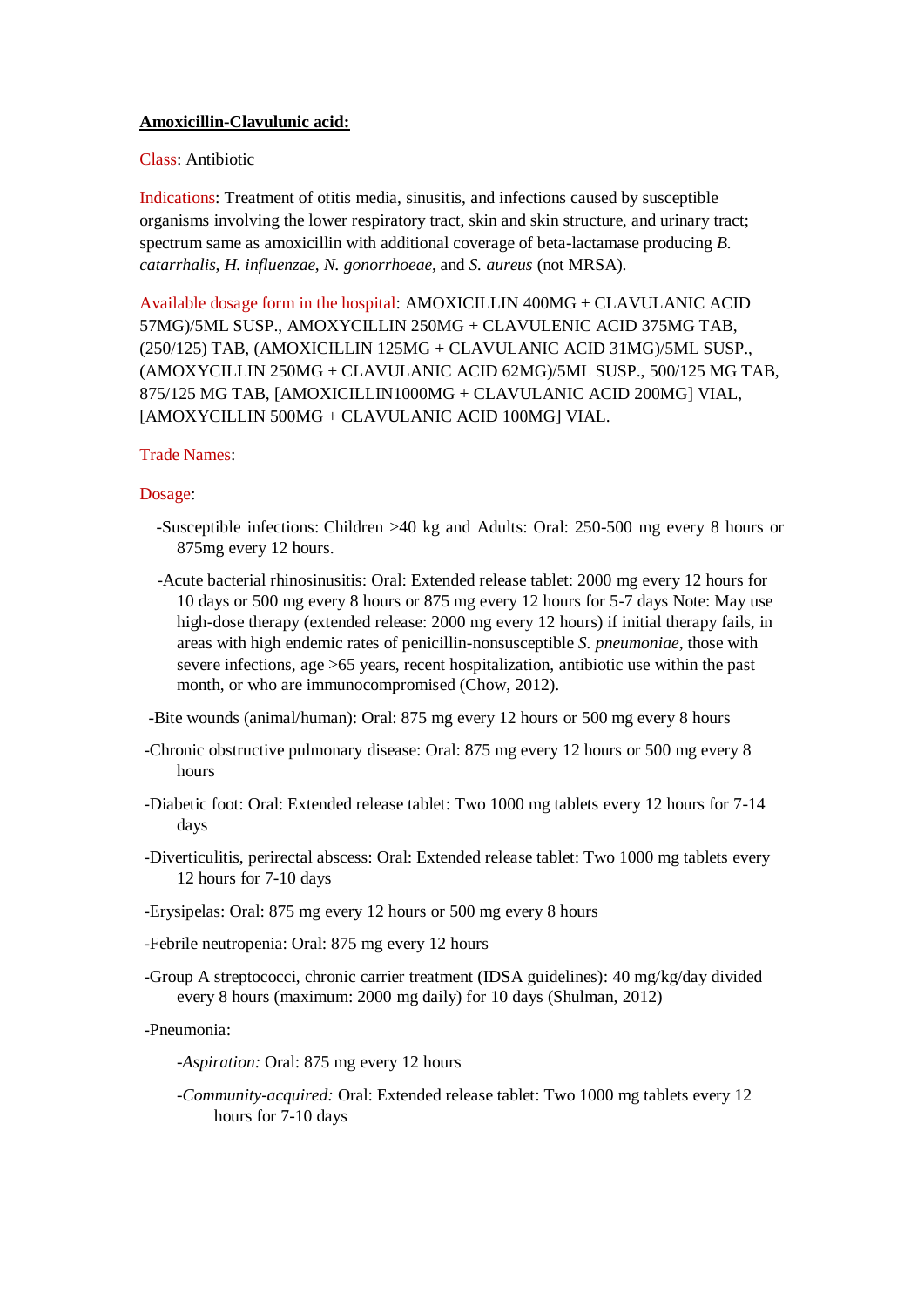## **Amoxicillin-Clavulunic acid:**

## Class: Antibiotic

Indications: Treatment of otitis media, sinusitis, and infections caused by susceptible organisms involving the lower respiratory tract, skin and skin structure, and urinary tract; spectrum same as amoxicillin with additional coverage of beta-lactamase producing *B. catarrhalis*, *H. influenzae*, *N. gonorrhoeae*, and *S. aureus* (not MRSA).

Available dosage form in the hospital: AMOXICILLIN 400MG + CLAVULANIC ACID 57MG)/5ML SUSP., AMOXYCILLIN 250MG + CLAVULENIC ACID 375MG TAB, (250/125) TAB, (AMOXICILLIN 125MG + CLAVULANIC ACID 31MG)/5ML SUSP., (AMOXYCILLIN 250MG + CLAVULANIC ACID 62MG)/5ML SUSP., 500/125 MG TAB, 875/125 MG TAB, [AMOXICILLIN1000MG + CLAVULANIC ACID 200MG] VIAL, [AMOXYCILLIN 500MG + CLAVULANIC ACID 100MG] VIAL.

## Trade Names:

## Dosage:

- -Susceptible infections: Children >40 kg and Adults: Oral: 250-500 mg every 8 hours or 875mg every 12 hours.
- -Acute bacterial rhinosinusitis: Oral: Extended release tablet: 2000 mg every 12 hours for 10 days or 500 mg every 8 hours or 875 mg every 12 hours for 5-7 days Note: May use high-dose therapy (extended release: 2000 mg every 12 hours) if initial therapy fails, in areas with high endemic rates of penicillin-nonsusceptible *S. pneumoniae*, those with severe infections, age >65 years, recent hospitalization, antibiotic use within the past month, or who are immunocompromised (Chow, 2012).

-Bite wounds (animal/human): Oral: 875 mg every 12 hours or 500 mg every 8 hours

- -Chronic obstructive pulmonary disease: Oral: 875 mg every 12 hours or 500 mg every 8 hours
- -Diabetic foot: Oral: Extended release tablet: Two 1000 mg tablets every 12 hours for 7-14 days

-Diverticulitis, perirectal abscess: Oral: Extended release tablet: Two 1000 mg tablets every 12 hours for 7-10 days

-Erysipelas: Oral: 875 mg every 12 hours or 500 mg every 8 hours

-Febrile neutropenia: Oral: 875 mg every 12 hours

-Group A streptococci, chronic carrier treatment (IDSA guidelines): 40 mg/kg/day divided every 8 hours (maximum: 2000 mg daily) for 10 days (Shulman, 2012)

-Pneumonia:

*-Aspiration:* Oral: 875 mg every 12 hours

*-Community-acquired:* Oral: Extended release tablet: Two 1000 mg tablets every 12 hours for 7-10 days